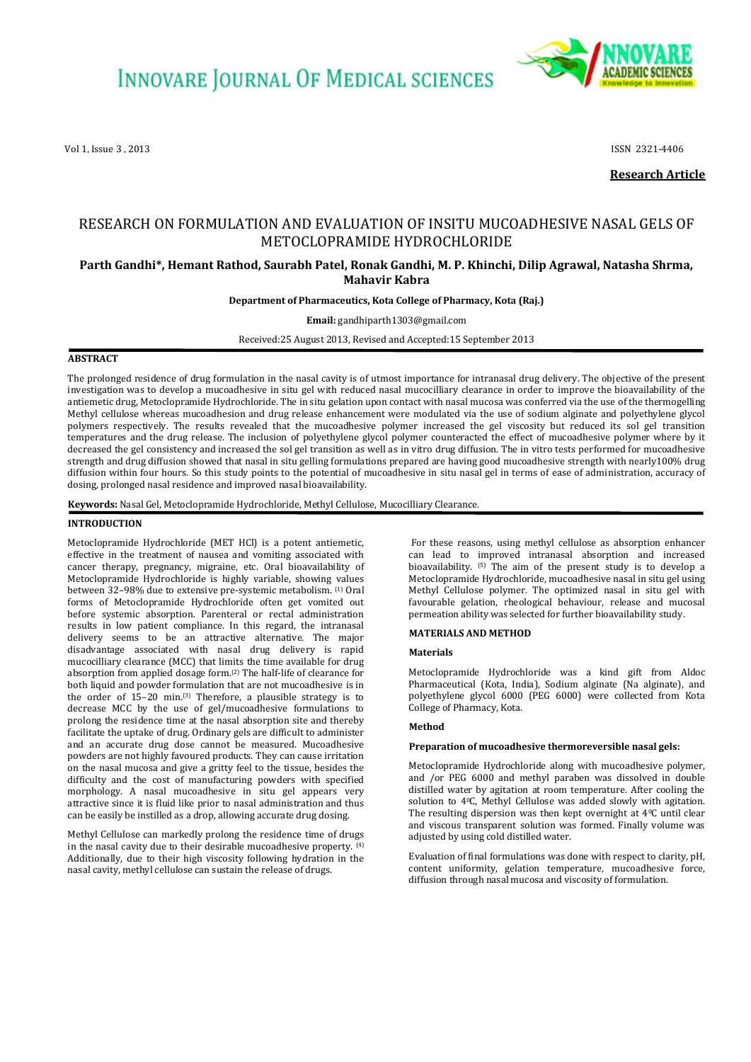

Vol 1, Issue 3 , 2013 **ISSN 2321-4406** 

**Research Article**

# RESEARCH ON FORMULATION AND EVALUATION OF INSITU MUCOADHESIVE NASAL GELS OF METOCLOPRAMIDE HYDROCHLORIDE

# **Parth Gandhi\*, Hemant Rathod, Saurabh Patel, Ronak Gandhi, M. P. Khinchi, Dilip Agrawal, Natasha Shrma, Mahavir Kabra**

#### **Department of Pharmaceutics, Kota College of Pharmacy, Kota (Raj.)**

**Email:** gandhiparth1303@gmail.com

Received:25 August 2013, Revised and Accepted:15 September 2013

# **ABSTRACT**

The prolonged residence of drug formulation in the nasal cavity is of utmost importance for intranasal drug delivery. The objective of the present investigation was to develop a mucoadhesive in situ gel with reduced nasal mucocilliary clearance in order to improve the bioavailability of the antiemetic drug, Metoclopramide Hydrochloride. The in situ gelation upon contact with nasal mucosa was conferred via the use of the thermogelling Methyl cellulose whereas mucoadhesion and drug release enhancement were modulated via the use of sodium alginate and polyethylene glycol polymers respectively. The results revealed that the mucoadhesive polymer increased the gel viscosity but reduced its sol gel transition temperatures and the drug release. The inclusion of polyethylene glycol polymer counteracted the effect of mucoadhesive polymer where by it decreased the gel consistency and increased the sol gel transition as well as in vitro drug diffusion. The in vitro tests performed for mucoadhesive strength and drug diffusion showed that nasal in situ gelling formulations prepared are having good mucoadhesive strength with nearly100% drug diffusion within four hours. So this study points to the potential of mucoadhesive in situ nasal gel in terms of ease of administration, accuracy of dosing, prolonged nasal residence and improved nasal bioavailability.

**Keywords:** Nasal Gel, Metoclopramide Hydrochloride, Methyl Cellulose, Mucocilliary Clearance.

#### **INTRODUCTION**

Metoclopramide Hydrochloride (MET HCl) is a potent antiemetic, effective in the treatment of nausea and vomiting associated with cancer therapy, pregnancy, migraine, etc. Oral bioavailability of Metoclopramide Hydrochloride is highly variable, showing values between 32–98% due to extensive pre-systemic metabolism. (1) Oral forms of Metoclopramide Hydrochloride often get vomited out before systemic absorption. Parenteral or rectal administration results in low patient compliance. In this regard, the intranasal delivery seems to be an attractive alternative. The major disadvantage associated with nasal drug delivery is rapid mucocilliary clearance (MCC) that limits the time available for drug absorption from applied dosage form.(2) The half-life of clearance for both liquid and powder formulation that are not mucoadhesive is in the order of 15–20 min.(3) Therefore, a plausible strategy is to decrease MCC by the use of gel/mucoadhesive formulations to prolong the residence time at the nasal absorption site and thereby facilitate the uptake of drug. Ordinary gels are difficult to administer and an accurate drug dose cannot be measured. Mucoadhesive powders are not highly favoured products. They can cause irritation on the nasal mucosa and give a gritty feel to the tissue, besides the difficulty and the cost of manufacturing powders with specified morphology. A nasal mucoadhesive in situ gel appears very attractive since it is fluid like prior to nasal administration and thus can be easily be instilled as a drop, allowing accurate drug dosing.

Methyl Cellulose can markedly prolong the residence time of drugs in the nasal cavity due to their desirable mucoadhesive property.  $(4)$ Additionally, due to their high viscosity following hydration in the nasal cavity, methyl cellulose can sustain the release of drugs.

For these reasons, using methyl cellulose as absorption enhancer can lead to improved intranasal absorption and increased bioavailability. (5) The aim of the present study is to develop a Metoclopramide Hydrochloride, mucoadhesive nasal in situ gel using Methyl Cellulose polymer. The optimized nasal in situ gel with favourable gelation, rheological behaviour, release and mucosal permeation ability was selected for further bioavailability study.

#### **MATERIALS AND METHOD**

#### **Materials**

Metoclopramide Hydrochloride was a kind gift from Aldoc Pharmaceutical (Kota, India), Sodium alginate (Na alginate), and polyethylene glycol 6000 (PEG 6000) were collected from Kota College of Pharmacy, Kota.

#### **Method**

#### **Preparation of mucoadhesive thermoreversible nasal gels:**

Metoclopramide Hydrochloride along with mucoadhesive polymer, and /or PEG 6000 and methyl paraben was dissolved in double distilled water by agitation at room temperature. After cooling the solution to 40C, Methyl Cellulose was added slowly with agitation. The resulting dispersion was then kept overnight at 40C until clear and viscous transparent solution was formed. Finally volume was adjusted by using cold distilled water.

Evaluation of final formulations was done with respect to clarity, pH, content uniformity, gelation temperature, mucoadhesive force, diffusion through nasal mucosa and viscosity of formulation.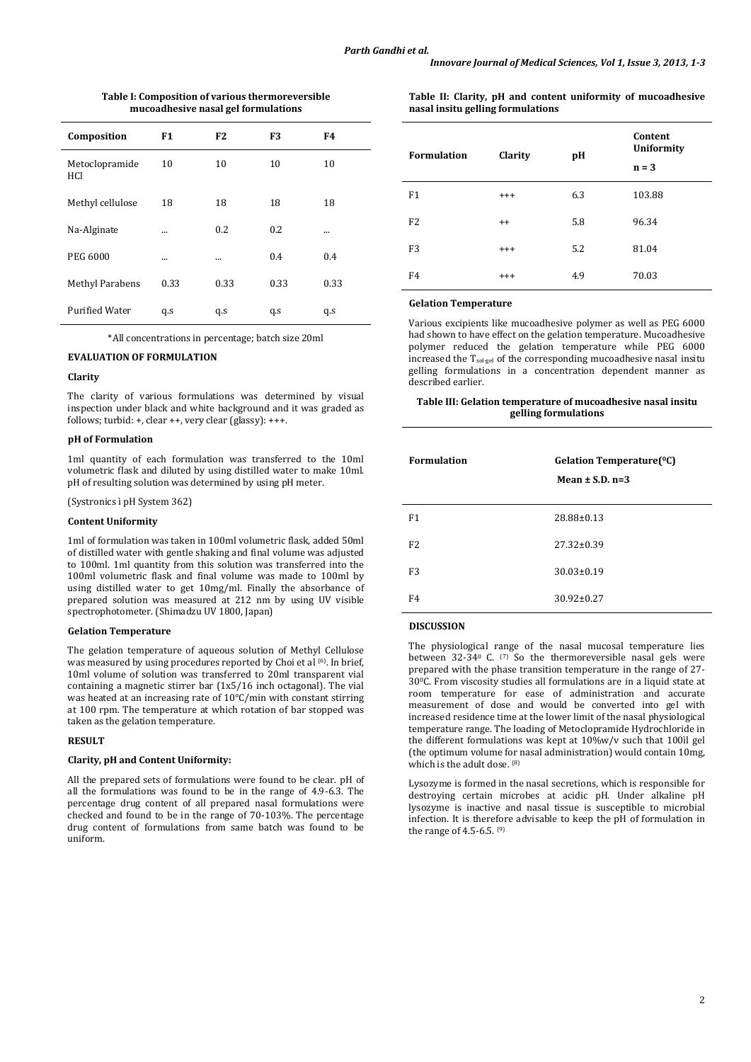| Composition            | F1       | F <sub>2</sub> | F <sub>3</sub> | F4   |
|------------------------|----------|----------------|----------------|------|
| Metoclopramide<br>HCl  | 10       | 10             | 10             | 10   |
| Methyl cellulose       | 18       | 18             | 18             | 18   |
| Na-Alginate            | $\cdots$ | 0.2            | 0.2            |      |
| <b>PEG 6000</b>        |          |                | 0.4            | 0.4  |
| <b>Methyl Parabens</b> | 0.33     | 0.33           | 0.33           | 0.33 |
| <b>Purified Water</b>  | q.s      | q.s            | q.s            | q.s  |

**Table I: Composition of various thermoreversible mucoadhesive nasal gel formulations**

\*All concentrations in percentage; batch size 20ml

#### **EVALUATION OF FORMULATION**

#### **Clarity**

The clarity of various formulations was determined by visual inspection under black and white background and it was graded as follows; turbid: +, clear ++, very clear (glassy): +++.

#### **pH of Formulation**

1ml quantity of each formulation was transferred to the 10ml volumetric flask and diluted by using distilled water to make 10ml. pH of resulting solution was determined by using pH meter.

(Systronics ì pH System 362)

### **Content Uniformity**

1ml of formulation was taken in 100ml volumetric flask, added 50ml of distilled water with gentle shaking and final volume was adjusted to 100ml. 1ml quantity from this solution was transferred into the 100ml volumetric flask and final volume was made to 100ml by using distilled water to get 10mg/ml. Finally the absorbance of prepared solution was measured at 212 nm by using UV visible spectrophotometer. (Shimadzu UV 1800, Japan)

#### **Gelation Temperature**

The gelation temperature of aqueous solution of Methyl Cellulose was measured by using procedures reported by Choi et al <sup>(6)</sup>. In brief, 10ml volume of solution was transferred to 20ml transparent vial containing a magnetic stirrer bar (1x5/16 inch octagonal). The vial was heated at an increasing rate of 10°C/min with constant stirring at 100 rpm. The temperature at which rotation of bar stopped was taken as the gelation temperature.

#### **RESULT**

#### **Clarity, pH and Content Uniformity:**

All the prepared sets of formulations were found to be clear. pH of all the formulations was found to be in the range of 4.9-6.3. The percentage drug content of all prepared nasal formulations were checked and found to be in the range of 70-103%. The percentage drug content of formulations from same batch was found to be uniform.

**Table II: Clarity, pH and content uniformity of mucoadhesive nasal insitu gelling formulations**

| <b>Formulation</b> | Clarity  | pH  | Content<br><b>Uniformity</b><br>$n = 3$ |
|--------------------|----------|-----|-----------------------------------------|
| F1                 | $^{+++}$ | 6.3 | 103.88                                  |
| F <sub>2</sub>     | $^{++}$  | 5.8 | 96.34                                   |
| F <sub>3</sub>     | $^{+++}$ | 5.2 | 81.04                                   |
| F4                 | $^{+++}$ | 4.9 | 70.03                                   |

#### **Gelation Temperature**

Various excipients like mucoadhesive polymer as well as PEG 6000 had shown to have effect on the gelation temperature. Mucoadhesive polymer reduced the gelation temperature while PEG 6000 increased the  $T_{sol-gel}$  of the corresponding mucoadhesive nasal insitu gelling formulations in a concentration dependent manner as described earlier.

# **Table III: Gelation temperature of mucoadhesive nasal insitu gelling formulations**

| <b>Formulation</b> | Gelation Temperature(°C)<br>Mean $\pm$ S.D. n=3 |
|--------------------|-------------------------------------------------|
| F1                 | 28.88±0.13                                      |
| F <sub>2</sub>     | $27.32 \pm 0.39$                                |
| F <sub>3</sub>     | $30.03 \pm 0.19$                                |
| F4                 | $30.92 \pm 0.27$                                |

#### **DISCUSSION**

The physiological range of the nasal mucosal temperature lies between  $32-340$  C.  $(7)$  So the thermoreversible nasal gels were prepared with the phase transition temperature in the range of 27- 300C. From viscosity studies all formulations are in a liquid state at room temperature for ease of administration and accurate measurement of dose and would be converted into gel with increased residence time at the lower limit of the nasal physiological temperature range. The loading of Metoclopramide Hydrochloride in the different formulations was kept at 10%w/v such that 100ìl gel (the optimum volume for nasal administration) would contain 10mg, which is the adult dose. <sup>(8)</sup>

Lysozyme is formed in the nasal secretions, which is responsible for destroying certain microbes at acidic pH. Under alkaline pH lysozyme is inactive and nasal tissue is susceptible to microbial infection. It is therefore advisable to keep the pH of formulation in the range of 4.5-6.5.  $(9)$